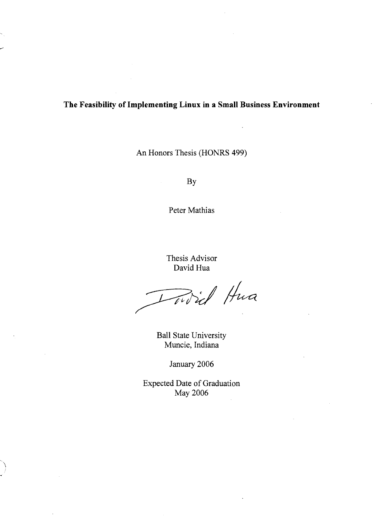## **The Feasibility of Implementing Linux in a Small Business Environment**

An Honors Thesis (HONRS 499)

By

Peter Mathias

Thesis Advisor David Hua

Dowid Hua

Ball State University Muncie, Indiana

January 2006

Expected Date of Graduation May 2006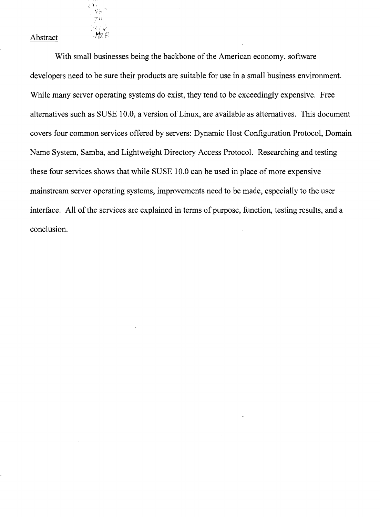## Abstract . *H-;: P*

¥э .<br>NP

With small businesses being the backbone of the American economy, software developers need to be sure their products are suitable for use in a small business environment. While many server operating systems do exist, they tend to be exceedingly expensive. Free alternatives such as SUSE 10.0, a version of Linux, are available as alternatives. This document covers four common services offered by servers: Dynamic Host Configuration Protocol, Domain Name System, Samba, and Lightweight Directory Access Protocol. Researching and testing these four services shows that while SUSE 10.0 can be used in place of more expensive mainstream server operating systems, improvements need to be made, especially to the user interface. All of the services are explained in terms of purpose, function, testing results, and a conclusion.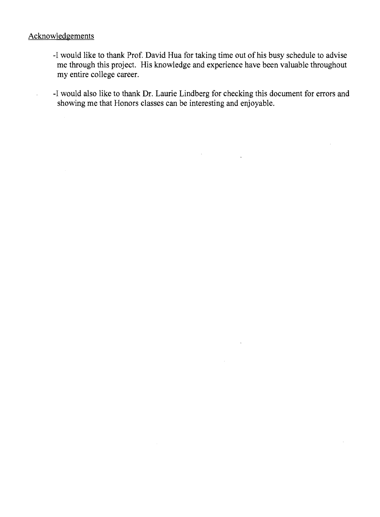## Acknowledgements

 $\ddot{\phantom{a}}$ 

- -I would like to thank Prof. David Hua for taking time out of his busy schedule to advise me through this project. His knowledge and experience have been valuable throughout my entire college career.
- -I would also like to thank Dr. Laurie Lindberg for checking this document for errors and showing me that Honors classes can be interesting and enjoyable.

 $\mathcal{L}^{\pm}$ 

 $\sim$  10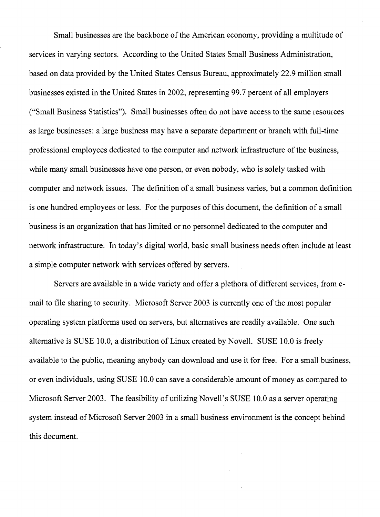Small businesses are the backbone of the American economy, providing a multitude of services in varying sectors. According to the United States Small Business Administration, based on data provided by the United States Census Bureau, approximately 22.9 million small businesses existed in the United States in 2002, representing 99.7 percent of all employers ("Small Business Statistics"). Small businesses often do not have access to the same resources as large businesses: a large business may have a separate department or branch with full-time professional employees dedicated to the computer and network infrastructure of the business, while many small businesses have one person, or even nobody, who is solely tasked with computer and network issues. The definition of a small business varies, but a common definition is one hundred employees or less. For the purposes of this document, the definition of a small business is an organization that has limited or no personnel dedicated to the computer and network infrastructure. In today's digital world, basic small business needs often include at least a simple computer network with services offered by servers.

Servers are available in a wide variety and offer a plethora of different services, from email to file sharing to security. Microsoft Server 2003 is currently one of the most popular operating system platforms used on servers, but alternatives are readily available. One such alternative is SUSE 10.0, a distribution of Linux created by Novell. SUSE 10.0 is freely available to the public, meaning anybody can download and use it for free. For a small business, or even individuals, using SUSE 10.0 can save a considerable amount of money as compared to Microsoft Server 2003. The feasibility of utilizing Novell's SUSE 10.0 as a server operating system instead of Microsoft Server 2003 in a small business environment is the concept behind this document.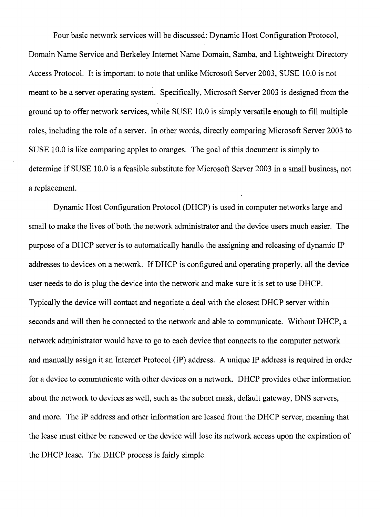Four basic network services will be discussed: Dynamic Host Configuration Protocol, Domain Name Service and Berkeley Internet Name Domain, Samba, and Lightweight Directory Access Protocol. It is important to note that unlike Microsoft Server 2003, SUSE 10.0 is not meant to be a server operating system. Specifically, Microsoft Server 2003 is designed from the ground up to offer network services, while SUSE 10.0 is simply versatile enough to fill multiple roles, including the role of a server. In other words, directly comparing Microsoft Server 2003 to SUSE 10.0 is like comparing apples to oranges. The goal of this document is simply to determine if SUSE 10.0 is a feasible substitute for Microsoft Server 2003 in a small business, not a replacement.

Dynamic Host Configuration Protocol (DHCP) is used in computer networks large and small to make the lives of both the network administrator and the device users much easier. The purpose of a DHCP server is to automatically handle the assigning and releasing of dynamic IP addresses to devices on a network. IfDHCP is configured and operating properly, all the device user needs to do is plug the device into the network and make sure it is set to use DHCP. Typically the device will contact and negotiate a deal with the closest DHCP server within seconds and will then be connected to the network and able to communicate. Without DHCP, a network administrator would have to go to each device that connects to the computer network and manually assign it an Internet Protocol (IP) address. A unique IP address is required in order for a device to communicate with other devices on a network. DHCP provides other information about the network to devices as well, such as the subnet mask, default gateway, DNS servers, and more. The IP address and other information are leased from the DHCP server, meaning that the lease must either be renewed or the device will lose its network access upon the expiration of the DHCP lease. The DHCP process is fairly simple.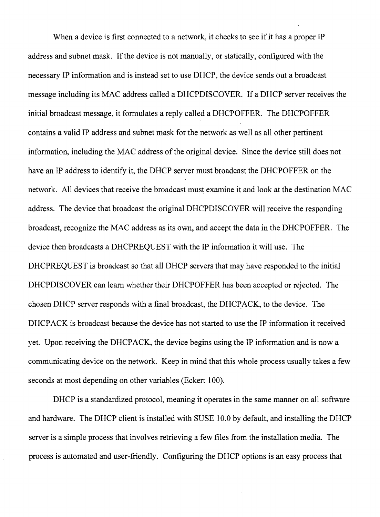When a device is first connected to a network, it checks to see if it has a proper IP address and subnet mask. If the device is not manually, or statically, configured with the necessary IP information and is instead set to use DHCP, the device sends out a broadcast message including its MAC address called aDHCPDISCOVER. If a DHCP server receives the initial broadcast message, it formulates a reply called a DHCPOFFER. The DHCPOFFER contains a valid IP address and subnet mask for the network as well as all other pertinent information, including the MAC address of the original device. Since the device still does not have an IP address to identify it, the DHCP server must broadcast the DHCPOFFER on the network. All devices that receive the broadcast must examine it and look at the destination MAC address. The device that broadcast the original DHCPDISCOVER will receive the responding broadcast, recognize the MAC address as its own, and accept the data in the DHCPOFFER. The device then broadcasts a DHCPREQUEST with the IP information it will use. The DHCPREQUEST is broadcast so that all DHCP servers that may have responded to the initial DHCPDISCOVER can learn whether their DHCPOFFER has been accepted or rejected. The chosen DHCP server responds with a final broadcast, the DHCPACK, to the device. The DHCPACK is broadcast because the device has not started to use the IP information it received yet. Upon receiving the DHCPACK, the device begins using the IP information and is now a communicating device on the network. Keep in mind that this whole process usually takes a few seconds at most depending on other variables (Eckert 100).

DHCP is a standardized protocol, meaning it operates in the same manner on all software and hardware. The DHCP client is installed with SUSE 10.0 by default, and installing the DHCP server is a simple process that involves retrieving a few files from the installation media. The process is automated and user-friendly. Configuring the DHCP options is an easy process that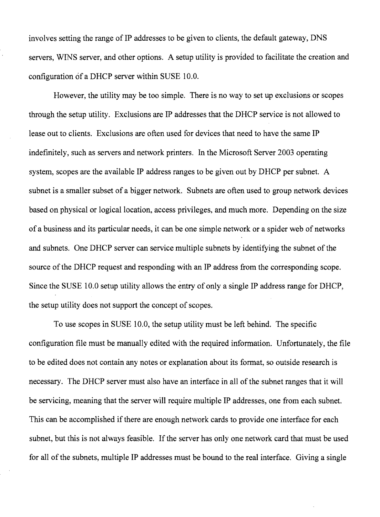involves setting the range of IP addresses to be given to clients, the default gateway, DNS servers, WINS server, and other options. A setup utility is provided to facilitate the creation and configuration of a DHCP server within SUSE 10.0.

However, the utility may be too simple. There is no way to set up exclusions or scopes through the setup utility. Exclusions are IP addresses that the DHCP service is not allowed to lease out to clients. Exclusions are often used for devices that need to have the same IP indefinitely, such as servers and network printers. In the Microsoft Server 2003 operating system, scopes are the available IP address ranges to be given out by DHCP per subnet. A subnet is a smaller subset of a bigger network. Subnets are often used to group network devices based on physical or logical location, access privileges, and much more. Depending on the size of a business and its particular needs, it can be one simple network or a spider web of networks and subnets. One DHCP server can service multiple subnets by identifying the subnet of the source of the DHCP request and responding with an IP address from the corresponding scope. Since the SUSE 10.0 setup utility allows the entry of only a single IP address range for DHCP, the setup utility does not support the concept of scopes.

To use scopes in SUSE 10.0, the setup utility must be left behind. The specific configuration file must be manually edited with the required information. Unfortunately, the file to be edited does not contain any notes or explanation about its format, so outside research is necessary. The DHCP server must also have an interface in all of the subnet ranges that it will be servicing, meaning that the server will require multiple IP addresses, one from each subnet. This can be accomplished if there are enough network cards to provide one interface for each subnet, but this is not always feasible. If the server has only one network card that must be used for all of the subnets, multiple IP addresses must be bound to the real interface. Giving a single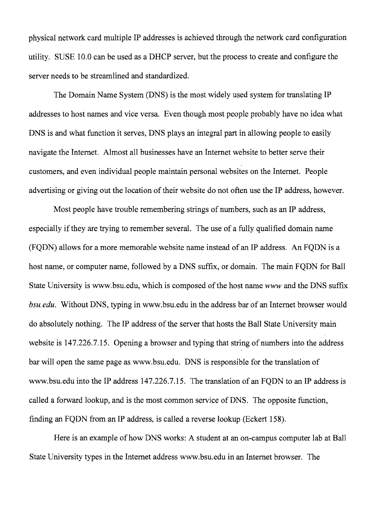physical network card multiple IP addresses is achieved through the network card configuration utility. SUSE 10.0 can be used as a DHCP server, but the process to create and configure the server needs to be streamlined and standardized.

The Domain Name System (DNS) is the most widely used system for translating IP addresses to host names and vice versa. Even though most people probably have no idea what DNS is and what function it serves, DNS plays an integral part in allowing people to easily navigate the Internet. Almost all businesses have an Internet website to better serve their customers, and even individual people maintain personal websites on the Internet. People advertising or giving out the location of their website do not often use the IP address, however.

Most people have trouble remembering strings of numbers, such as an IP address, especially if they are trying to remember several. The use of a fully qualified domain name (FQDN) allows for a more memorable website name instead of an IP address. An FQDN is a host name, or computer name, followed by a DNS suffix, or domain. The main FQDN for Ball State University is www.bsu.edu, which is composed of the host name www and the DNS suffix *bsu.edu.* Without DNS, typing in www.bsu.edu in the address bar of an Internet browser would do absolutely nothing. The IP address of the server that hosts the Ball State University main website is 147.226.7.15. Opening a browser and typing that string of numbers into the address bar will open the same page as www.bsu.edu. DNS is responsible for the translation of www.bsu.edu into the IP address 147.226.7.15. The translation of an FQDN to an IP address is called a forward lookup, and is the most common service of DNS. The opposite function, finding an FQDN from an IP address, is called a reverse lookup (Eckert 158).

Here is an example of how DNS works: A student at an on-campus computer lab at Ball State University types in the Internet address www.bsu.edu in an Internet browser. The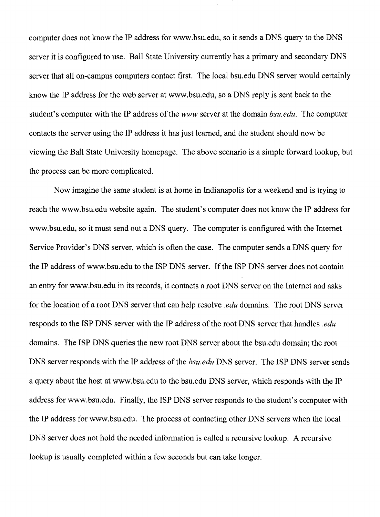computer does not know the IP address for www.bsu.edu, so it sends a DNS query to the DNS server it is configured to use. Ball State University currently has a primary and secondary DNS server that all on-campus computers contact first. The local bsu.edu DNS server would certainly know the IP address for the web server at www.bsu.edu, so a DNS reply is sent back to the student's computer with the IP address of the *www* server at the domain *bsu.edu.* The computer contacts the server using the IP address it has just learned, and the student should now be viewing the Ball State University homepage. The above scenario is a simple forward lookup, but the process can be more complicated.

Now imagine the same student is at home in Indianapolis for a weekend and is trying to reach the www.bsu.edu website again. The student's computer does not know the IP address for www.bsu.edu, so it must send out a DNS query. The computer is configured with the Internet Service Provider's DNS server, which is often the case. The computer sends a DNS query for the IP address of www.bsu.edu to the ISP DNS server. If the ISP DNS server does not contain an entry for www.bsu.edu in its records, it contacts a root DNS server on the Internet and asks for the location of a root DNS server that can help resolve *.edu* domains. The root DNS server responds to the ISP DNS server with the IP address of the root DNS server that handles *.edu*  domains. The ISP DNS queries the new root DNS server about the bsu.edu domain; the root DNS server responds with the IP address of the *bsu. edu* DNS server. The ISP DNS server sends a query about the host at www.bsu.edu to the bsu.edu DNS server, which responds with the IP address for www.bsu.edu. Finally, the ISP DNS server responds to the student's computer with the IP address for www.bsu.edu. The process of contacting other DNS servers when the local DNS server does not hold the needed information is called a recursive lookup. A recursive lookup is usually completed within a few seconds but can take longer.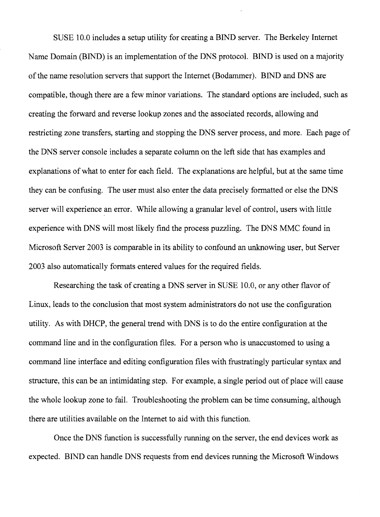SUSE 10.0 includes a setup utility for creating a BIND server. The Berkeley Internet Name Domain (BIND) is an implementation of the DNS protocol. BIND is used on a majority of the name resolution servers that support the Internet (Bodammer). BIND and DNS are compatible, though there are a few minor variations. The standard options are included, such as creating the forward and reverse lookup zones and the associated records, allowing and restricting zone transfers, starting and stopping the DNS server process, and more. Each page of the DNS server console includes a separate column on the left side that has examples and explanations of what to enter for each field. The explanations are helpful, but at the same time they can be confusing. The user must also enter the data precisely formatted or else the DNS server will experience an error. While allowing a granular level of control, users with little experience with DNS will most likely find the process puzzling. The DNS MMC found in Microsoft Server 2003 is comparable in its ability to confound an unknowing user, but Server 2003 also automatically formats entered values for the required fields.

Researching the task of creating a DNS server in SUSE 10.0, or any other flavor of Linux, leads to the conclusion that most system administrators do not use the configuration utility. As with DHCP, the general trend with DNS is to do the entire configuration at the command line and in the configuration files. For a person who is unaccustomed to using a command line interface and editing configuration files with frustratingly particular syntax and structure, this can be an intimidating step. For example, a single period out of place will cause the whole lookup zone to fail. Troubleshooting the problem can be time consuming, although there are utilities available on the Internet to aid with this function.

Once the DNS function is successfully running on the server, the end devices work as expected. BIND can handle DNS requests from end devices running the Microsoft Windows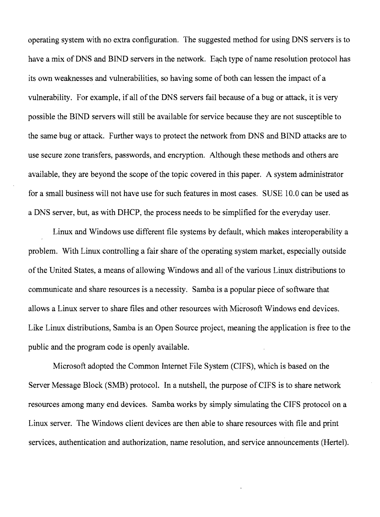operating system with no extra configuration. The suggested method for using DNS servers is to have a mix of DNS and BIND servers in the network. Each type of name resolution protocol has its own weaknesses and vulnerabilities, so having some of both can lessen the impact of a vulnerability. For example, if all of the DNS servers fail because of a bug or attack, it is very possible the BIND servers will still be available for service because they are not susceptible to the same bug or attack. Further ways to protect the network from DNS and BIND attacks are to use secure zone transfers, passwords, and encryption. Although these methods and others are available, they are beyond the scope of the topic covered in this paper. A system administrator for a small business will not have use for such features in most cases. SUSE 10.0 can be used as a DNS server, but, as with DHCP, the process needs to be simplified for the everyday user.

Linux and Windows use different file systems by default, which makes interoperability a problem. With Linux controlling a fair share of the operating system market, especially outside of the United States, a means of allowing Windows and all of the various Linux distributions to communicate and share resources is a necessity. Samba is a popular piece of software that allows a Linux server to share files and other resources with Microsoft Windows end devices. Like Linux distributions, Samba is an Open Source project, meaning the application is free to the public and the program code is openly available.

Microsoft adopted the Common Internet File System (CIFS), which is based on the Server Message Block (SMB) protocol. In a nutshell, the purpose of CIFS is to share network resources among many end devices. Samba works by simply simulating the CIFS protocol on a Linux server. The Windows client devices are then able to share resources with file and print services, authentication and authorization, name resolution, and service announcements (Hertel).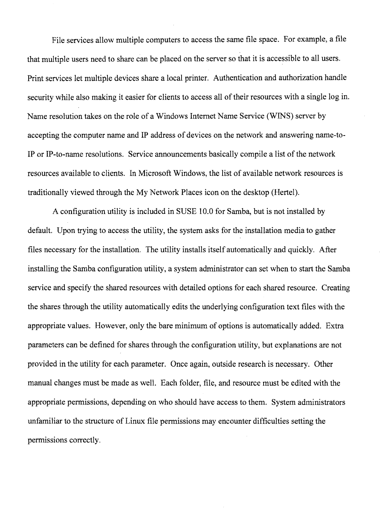File services allow multiple computers to access the same file space. For example, a file that multiple users need to share can be placed on the server so that it is accessible to all users. Print services let multiple devices share a local printer. Authentication and authorization handle security while also making it easier for clients to access all of their resources with a single log in. Name resolution takes on the role of a Windows Internet Name Service (WINS) server by accepting the computer name and **IP** address of devices on the network and answering name-to-**IP** or IP-to-name resolutions. Service announcements basically compile a list of the network resources available to clients. In Microsoft Windows, the list of available network resources is traditionally viewed through the My Network Places icon on the desktop (Hertel).

A configuration utility is included in SUSE 10.0 for Samba, but is not installed by default. Upon trying to access the utility, the system asks for the installation media to gather files necessary for the installation. The utility installs itself automatically and quickly. After installing the Samba configuration utility, a system administrator can set when to start the Samba service and specify the shared resources with detailed options for each shared resource. Creating the shares through the utility automatically edits the underlying configuration text files with the appropriate values. However, only the bare minimum of options is automatically added. Extra parameters can be defined for shares through the configuration utility, but explanations are not provided in the utility for each parameter. Once again, outside research is necessary. Other manual changes must be made as well. Each folder, file, and resource must be edited with the appropriate permissions, depending on who should have access to them. System administrators unfamiliar to the structure of Linux file permissions may encounter difficulties setting the permissions correctly.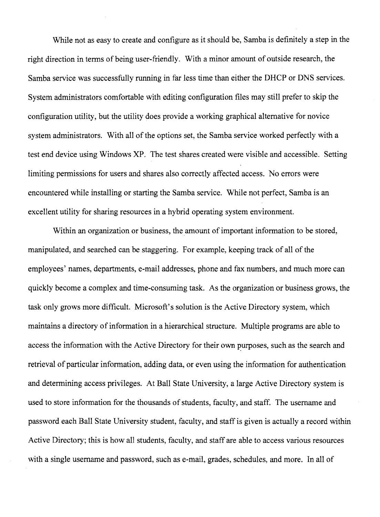While not as easy to create and configure as it should be, Samba is definitely a step in the right direction in terms of being user-friendly. With a minor amount of outside research, the Samba service was successfully running in far less time than either the DHCP or DNS services. System administrators comfortable with editing configuration files may still prefer to skip the configuration utility, but the utility does provide a working graphical alternative for novice system administrators. With all of the options set, the Samba service worked perfectly with a test end device using Windows XP. The test shares created were visible and accessible. Setting limiting permissions for users and shares also correctly affected access. No errors were encountered while installing or starting the Samba service. While not perfect, Samba is an excellent utility for sharing resources in a hybrid operating system environment.

Within an organization or business, the amount of important information to be stored, manipulated, and searched can be staggering. For example, keeping track of all of the employees' names, departments, e-mail addresses, phone and fax numbers, and much more can quickly become a complex and time-consuming task. As the organization or business grows, the task only grows more difficult. Microsoft's solution is the Active Directory system, which maintains a directory of information in a hierarchical structure. Multiple programs are able to access the information with the Active Directory for their own purposes, such as the search and retrieval of particular information, adding data, or even using the information for authentication and determining access privileges. At Ball State University, a large Active Directory system is used to store information for the thousands of students, faculty, and staff. The username and password each Ball State University student, faculty, and staff is given is actually a record within Active Directory; this is how all students, faculty, and staff are able to access various resources with a single username and password, such as e-mail, grades, schedules, and more. In all of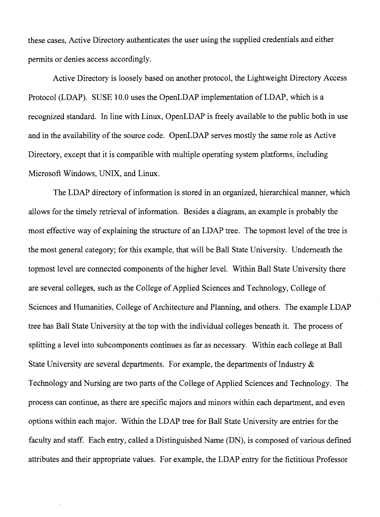these cases, Active Directory authenticates the user using the supplied credentials and either permits or denies access accordingly.

Active Directory is loosely based on another protocol, the Lightweight Directory Access Protocol (LDAP). SUSE 10.0 uses the OpenLDAP implementation of LDAP, which is a recognized standard. In line with Linux, OpenLDAP is freely available to the public both in use and in the availability of the source code. OpenLDAP serves mostly the same role as Active Directory, except that it is compatible with multiple operating system platforms, including Microsoft Windows, UNIX, and Linux.

The LDAP directory of information is stored in an organized, hierarchical manner, which allows for the timely retrieval of information. Besides a diagram, an example is probably the most effective way of explaining the structure of an LDAP tree. The topmost level of the tree is the most general category; for this example, that will be Ball State University. Underneath the topmost level are connected components of the higher level. Within Ball State University there are several colleges, such as the College of Applied Sciences and Technology, College of Sciences and Humanities, College of Architecture and Planning, and others. The example LDAP tree has Ball State University at the top with the individual colleges beneath it. The process of splitting a level into subcomponents continues as far as necessary. Within each college at Ball State University are several departments. For example, the departments of Industry  $\&$ Technology and Nursing are two parts of the College of Applied Sciences and Technology. The process can continue, as there are specific majors and minors within each department, and even options within each major. Within the LDAP tree for Ball State University are entries for the faculty and staff. Each entry, called a Distinguished Name (DN), is composed of various defined attributes and their appropriate values. For example, the LDAP entry for the fictitious Professor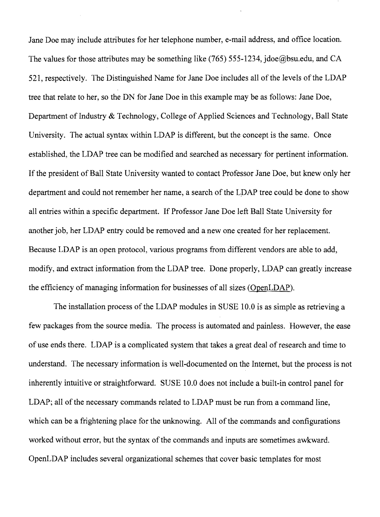Jane Doe may include attributes for her telephone number, e-mail address, and office location. The values for those attributes may be something like (765) 555-1234, jdoe@bsu.edu, and CA 521, respectively. The Distinguished Name for Jane Doe includes all of the levels of the LDAP tree that relate to her, so the DN for Jane Doe in this example may be as follows: Jane Doe, Department of Industry  $&$  Technology, College of Applied Sciences and Technology, Ball State University. The actual syntax within LDAP is different, but the concept is the same. Once established, the LDAP tree can be modified and searched as necessary for pertinent information. If the president of Ball State University wanted to contact Professor Jane Doe, but knew only her department and could not remember her name, a search of the LPAP tree could be done to show all entries within a specific department. If Professor Jane Doe left Ball State University for another job, her LDAP entry could be removed and a new one created for her replacement. Because LDAP is an open protocol, various programs from different vendors are able to add, modify, and extract information from the LDAP tree. Done properly, LDAP can greatly increase the efficiency of managing information for businesses of all sizes (OpenLDAP).

The installation process of the LDAP modules in SUSE 10.0 is as simple as retrieving a few packages from the source media. The process is automated and painless. However, the ease of use ends there. LDAP is a complicated system that takes a great deal of research and time to understand. The necessary information is well-documented on the Internet, but the process is not inherently intuitive or straightforward. SUSE 10.0 does not include a built-in control panel for LDAP; all of the necessary commands related to LDAP must be run from a command line, which can be a frightening place for the unknowing. All of the commands and configurations worked without error, but the syntax of the commands and inputs are sometimes awkward. OpenLDAP includes several organizational schemes that cover basic templates for most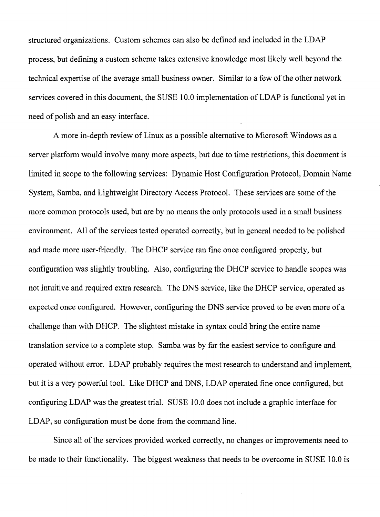structured organizations. Custom schemes can also be defined and included in the LDAP process, but defining a custom scheme takes extensive knowledge most likely well beyond the technical expertise of the average small business owner. Similar to a few ofthe other network services covered in this document, the SUSE 10.0 implementation of LDAP is functional yet in need of polish and an easy interface.

A more in-depth review of Linux as a possible alternative to Microsoft Windows as a server platform would involve many more aspects, but due to time restrictions, this document is limited in scope to the following services: Dynamic Host Configuration Protocol, Domain Name System, Samba, and Lightweight Directory Access Protocol. These services are some of the more common protocols used, but are by no means the only protocols used in a small business environment. All of the services tested operated correctly, but in general needed to be polished and made more user-friendly. The DHCP service ran fine once configured properly, but configuration was slightly troubling. Also, configuring the DHCP service to handle scopes was not intuitive and required extra research. The DNS service, like the DHCP service, operated as expected once configured. However, configuring the DNS service proved to be even more of a challenge than with DHCP. The slightest mistake in syntax could bring the entire name translation service to a complete stop. Samba was by far the easiest service to configure and operated without error. LDAP probably requires the most research to understand and implement, but it is a very powerful tool. Like DHCP and DNS, LDAP operated fine once configured, but configuring LDAP was the greatest trial. SUSE 10.0 does not include a graphic interface for LDAP, so configuration must be done from the command line.

Since all of the services provided worked correctly, no changes or improvements need to be made to their functionality. The biggest weakness that needs to be overcome in SUSE 10.0 is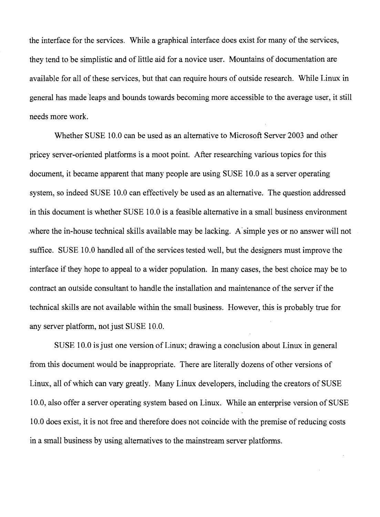the interface for the services. While a graphical interface does exist for many of the services, they tend to be simplistic and of little aid for a novice user. Mountains of documentation are available for all of these services, but that can require hours of outside research. While Linux in general has made 'leaps and bounds towards becoming more accessible to the average user, it still needs more work.

Whether SUSE 10.0 can be used as an alternative to Microsoft Server 2003 and other pricey server-oriented platforms is a moot point. After researching various topics for this document, it became apparent that many people are using SUSE 10.0 as a server operating system, so indeed SUSE 10.0 can effectively be used as an alternative. The question addressed in this document is whether SUSE 10.0 is a feasible alternative in a small business environment where the in-house technical skills available may be lacking. A simple yes or no answer will not suffice. SUSE 10.0 handled all of the services tested well, but the designers must improve the interface if they hope to appeal to a wider population. In many cases, the best choice may be to contract an outside consultant to handle the installation and maintenance of the server if the technical skills are not available within the small business. However, this is probably true for any server platform, not just SUSE 10.0.

SUSE 10.0 is just one version of Linux; drawing a conclusion about Linux in general from this document would be inappropriate. There are literally dozens of other versions of Linux, all of which can vary greatly. Many Linux developers, including the creators of SUSE 10.0, also offer a server operating system based on Linux. While an enterprise version of SUSE 10.0 does exist, it is not free and therefore does not coincide with the premise of reducing costs in a small business by using alternatives to the mainstream server platforms.